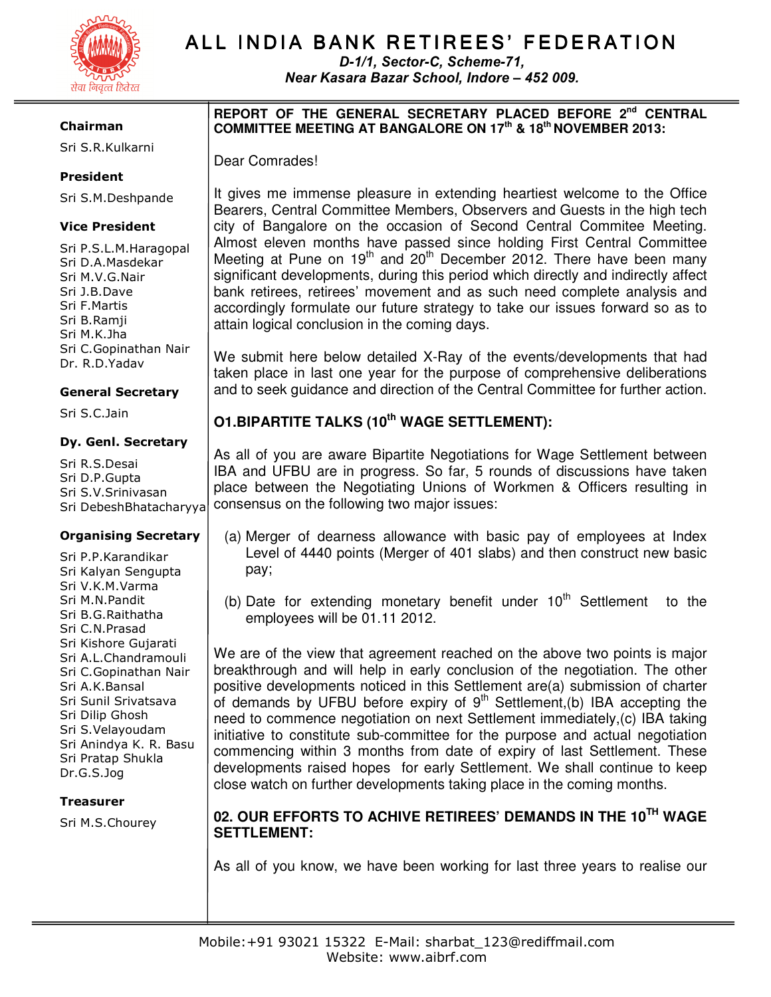

# ALL INDIA BANK RETIREES' FEDERATION

D-1/1, Sector-C, Scheme-71, Near Kasara Bazar School, Indore – 452 009.

#### Chairman

Sri S.R.Kulkarni

#### President

Sri S.M.Deshpande

#### Vice President

Sri P.S.L.M.Haragopal Sri D.A.Masdekar Sri M.V.G.Nair Sri J.B.Dave Sri F.Martis Sri B.Ramji Sri M.K.Jha Sri C.Gopinathan Nair Dr. R.D.Yadav

#### General Secretary

Sri S.C.Jain

#### Dy. Genl. Secretary

Sri R.S.Desai Sri D.P.Gupta Sri S.V.Srinivasan Sri DebeshBhatacharyya

#### Organising Secretary

Sri P.P.Karandikar Sri Kalyan Sengupta Sri V.K.M.Varma Sri M.N.Pandit Sri B.G.Raithatha Sri C.N.Prasad Sri Kishore Gujarati Sri A.L.Chandramouli Sri C.Gopinathan Nair Sri A.K.Bansal Sri Sunil Srivatsava Sri Dilip Ghosh Sri S.Velayoudam Sri Anindya K. R. Basu Sri Pratap Shukla Dr.G.S.Jog

#### Treasurer

Sri M.S.Chourey

#### **REPORT OF THE GENERAL SECRETARY PLACED BEFORE 2nd CENTRAL COMMITTEE MEETING AT BANGALORE ON 17th & 18th NOVEMBER 2013:**

Dear Comrades!

It gives me immense pleasure in extending heartiest welcome to the Office Bearers, Central Committee Members, Observers and Guests in the high tech city of Bangalore on the occasion of Second Central Commitee Meeting. Almost eleven months have passed since holding First Central Committee Meeting at Pune on  $19<sup>th</sup>$  and  $20<sup>th</sup>$  December 2012. There have been many significant developments, during this period which directly and indirectly affect bank retirees, retirees' movement and as such need complete analysis and accordingly formulate our future strategy to take our issues forward so as to attain logical conclusion in the coming days.

We submit here below detailed X-Ray of the events/developments that had taken place in last one year for the purpose of comprehensive deliberations and to seek guidance and direction of the Central Committee for further action.

# **O1.BIPARTITE TALKS (10th WAGE SETTLEMENT):**

As all of you are aware Bipartite Negotiations for Wage Settlement between IBA and UFBU are in progress. So far, 5 rounds of discussions have taken place between the Negotiating Unions of Workmen & Officers resulting in consensus on the following two major issues:

- (a) Merger of dearness allowance with basic pay of employees at Index Level of 4440 points (Merger of 401 slabs) and then construct new basic pay;
- (b) Date for extending monetary benefit under  $10^{th}$  Settlement to the employees will be 01.11 2012.

We are of the view that agreement reached on the above two points is major breakthrough and will help in early conclusion of the negotiation. The other positive developments noticed in this Settlement are(a) submission of charter of demands by UFBU before expiry of 9<sup>th</sup> Settlement, (b) IBA accepting the need to commence negotiation on next Settlement immediately,(c) IBA taking initiative to constitute sub-committee for the purpose and actual negotiation commencing within 3 months from date of expiry of last Settlement. These developments raised hopes for early Settlement. We shall continue to keep close watch on further developments taking place in the coming months.

# **02. OUR EFFORTS TO ACHIVE RETIREES' DEMANDS IN THE 10TH WAGE SETTLEMENT:**

As all of you know, we have been working for last three years to realise our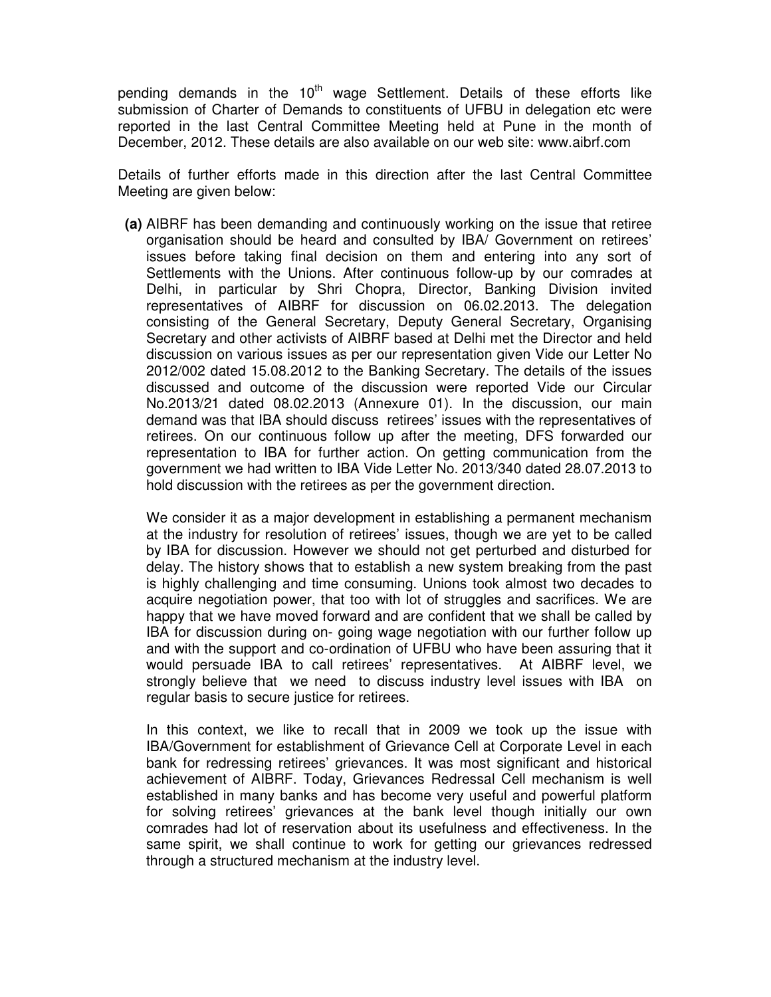pending demands in the 10<sup>th</sup> wage Settlement. Details of these efforts like submission of Charter of Demands to constituents of UFBU in delegation etc were reported in the last Central Committee Meeting held at Pune in the month of December, 2012. These details are also available on our web site: www.aibrf.com

Details of further efforts made in this direction after the last Central Committee Meeting are given below:

**(a)** AIBRF has been demanding and continuously working on the issue that retiree organisation should be heard and consulted by IBA/ Government on retirees' issues before taking final decision on them and entering into any sort of Settlements with the Unions. After continuous follow-up by our comrades at Delhi, in particular by Shri Chopra, Director, Banking Division invited representatives of AIBRF for discussion on 06.02.2013. The delegation consisting of the General Secretary, Deputy General Secretary, Organising Secretary and other activists of AIBRF based at Delhi met the Director and held discussion on various issues as per our representation given Vide our Letter No 2012/002 dated 15.08.2012 to the Banking Secretary. The details of the issues discussed and outcome of the discussion were reported Vide our Circular No.2013/21 dated 08.02.2013 (Annexure 01). In the discussion, our main demand was that IBA should discuss retirees' issues with the representatives of retirees. On our continuous follow up after the meeting, DFS forwarded our representation to IBA for further action. On getting communication from the government we had written to IBA Vide Letter No. 2013/340 dated 28.07.2013 to hold discussion with the retirees as per the government direction.

We consider it as a major development in establishing a permanent mechanism at the industry for resolution of retirees' issues, though we are yet to be called by IBA for discussion. However we should not get perturbed and disturbed for delay. The history shows that to establish a new system breaking from the past is highly challenging and time consuming. Unions took almost two decades to acquire negotiation power, that too with lot of struggles and sacrifices. We are happy that we have moved forward and are confident that we shall be called by IBA for discussion during on- going wage negotiation with our further follow up and with the support and co-ordination of UFBU who have been assuring that it would persuade IBA to call retirees' representatives. At AIBRF level, we strongly believe that we need to discuss industry level issues with IBA on regular basis to secure justice for retirees.

In this context, we like to recall that in 2009 we took up the issue with IBA/Government for establishment of Grievance Cell at Corporate Level in each bank for redressing retirees' grievances. It was most significant and historical achievement of AIBRF. Today, Grievances Redressal Cell mechanism is well established in many banks and has become very useful and powerful platform for solving retirees' grievances at the bank level though initially our own comrades had lot of reservation about its usefulness and effectiveness. In the same spirit, we shall continue to work for getting our grievances redressed through a structured mechanism at the industry level.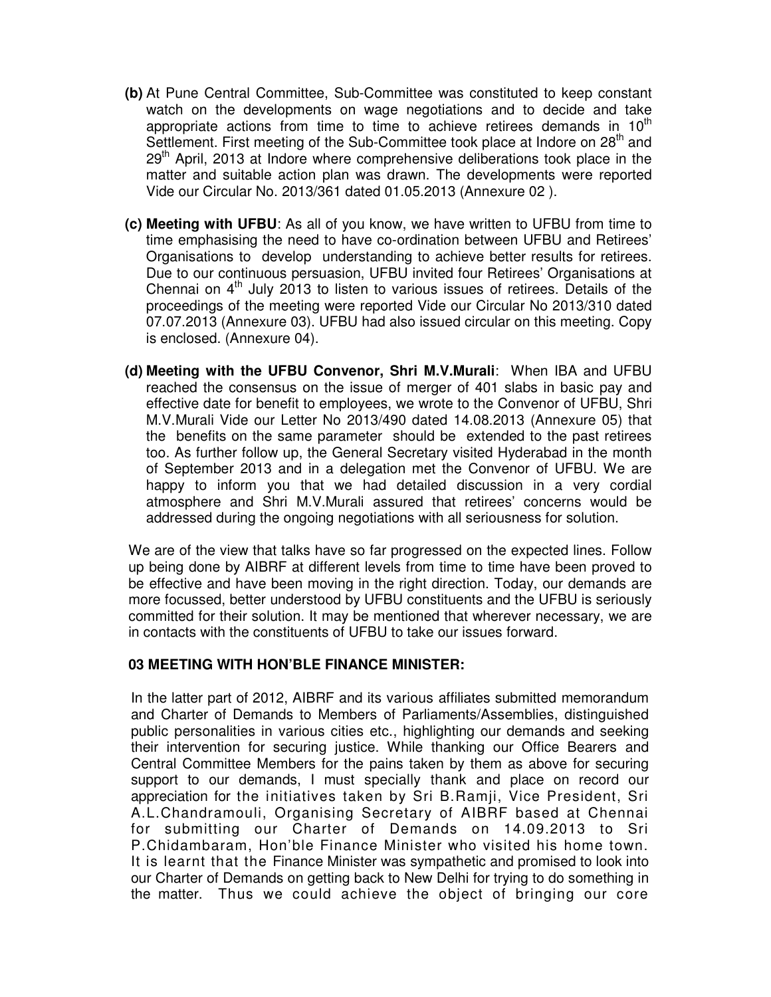- **(b)** At Pune Central Committee, Sub-Committee was constituted to keep constant watch on the developments on wage negotiations and to decide and take appropriate actions from time to time to achieve retirees demands in  $10<sup>th</sup>$ Settlement. First meeting of the Sub-Committee took place at Indore on 28<sup>th</sup> and  $29<sup>th</sup>$  April, 2013 at Indore where comprehensive deliberations took place in the matter and suitable action plan was drawn. The developments were reported Vide our Circular No. 2013/361 dated 01.05.2013 (Annexure 02 ).
- **(c) Meeting with UFBU**: As all of you know, we have written to UFBU from time to time emphasising the need to have co-ordination between UFBU and Retirees' Organisations to develop understanding to achieve better results for retirees. Due to our continuous persuasion, UFBU invited four Retirees' Organisations at Chennai on  $4<sup>th</sup>$  July 2013 to listen to various issues of retirees. Details of the proceedings of the meeting were reported Vide our Circular No 2013/310 dated 07.07.2013 (Annexure 03). UFBU had also issued circular on this meeting. Copy is enclosed. (Annexure 04).
- **(d) Meeting with the UFBU Convenor, Shri M.V.Murali**: When IBA and UFBU reached the consensus on the issue of merger of 401 slabs in basic pay and effective date for benefit to employees, we wrote to the Convenor of UFBU, Shri M.V.Murali Vide our Letter No 2013/490 dated 14.08.2013 (Annexure 05) that the benefits on the same parameter should be extended to the past retirees too. As further follow up, the General Secretary visited Hyderabad in the month of September 2013 and in a delegation met the Convenor of UFBU. We are happy to inform you that we had detailed discussion in a very cordial atmosphere and Shri M.V.Murali assured that retirees' concerns would be addressed during the ongoing negotiations with all seriousness for solution.

We are of the view that talks have so far progressed on the expected lines. Follow up being done by AIBRF at different levels from time to time have been proved to be effective and have been moving in the right direction. Today, our demands are more focussed, better understood by UFBU constituents and the UFBU is seriously committed for their solution. It may be mentioned that wherever necessary, we are in contacts with the constituents of UFBU to take our issues forward.

#### **03 MEETING WITH HON'BLE FINANCE MINISTER:**

In the latter part of 2012, AIBRF and its various affiliates submitted memorandum and Charter of Demands to Members of Parliaments/Assemblies, distinguished public personalities in various cities etc., highlighting our demands and seeking their intervention for securing justice. While thanking our Office Bearers and Central Committee Members for the pains taken by them as above for securing support to our demands, I must specially thank and place on record our appreciation for the initiatives taken by Sri B.Ramji, Vice President, Sri A.L.Chandramouli, Organising Secretary of AIBRF based at Chennai for submitting our Charter of Demands on 14.09.2013 to Sri P.Chidambaram, Hon'ble Finance Minister who visited his home town. It is learnt that the Finance Minister was sympathetic and promised to look into our Charter of Demands on getting back to New Delhi for trying to do something in the matter. Thus we could achieve the object of bringing our core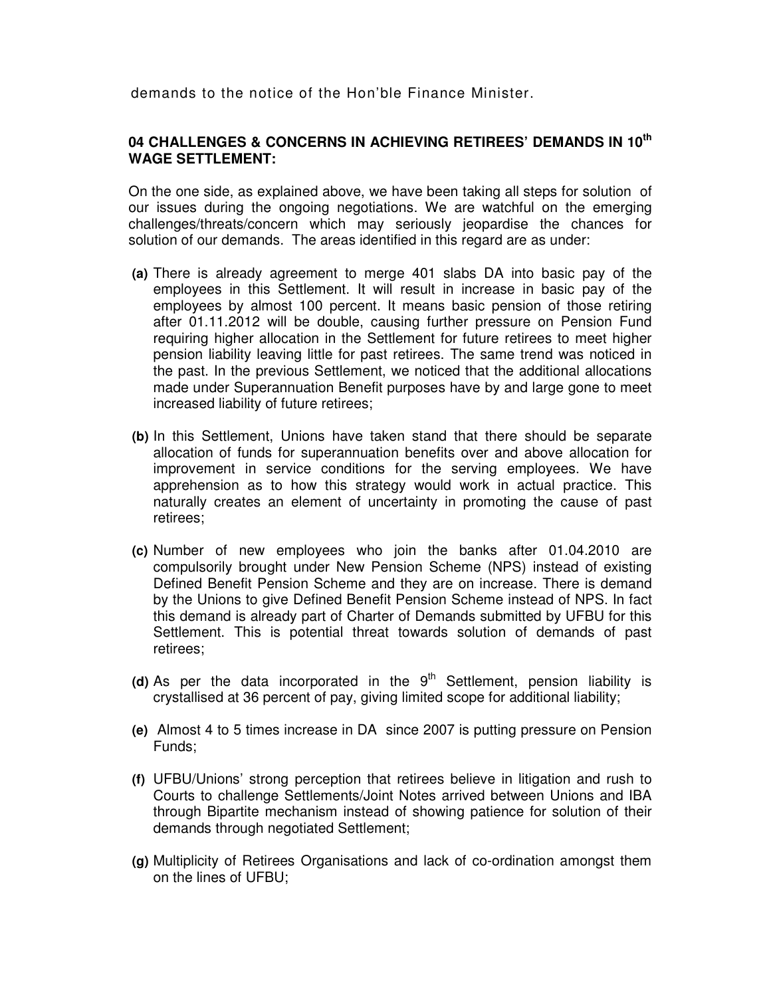demands to the notice of the Hon'ble Finance Minister.

#### **04 CHALLENGES & CONCERNS IN ACHIEVING RETIREES' DEMANDS IN 10th WAGE SETTLEMENT:**

On the one side, as explained above, we have been taking all steps for solution of our issues during the ongoing negotiations. We are watchful on the emerging challenges/threats/concern which may seriously jeopardise the chances for solution of our demands. The areas identified in this regard are as under:

- **(a)** There is already agreement to merge 401 slabs DA into basic pay of the employees in this Settlement. It will result in increase in basic pay of the employees by almost 100 percent. It means basic pension of those retiring after 01.11.2012 will be double, causing further pressure on Pension Fund requiring higher allocation in the Settlement for future retirees to meet higher pension liability leaving little for past retirees. The same trend was noticed in the past. In the previous Settlement, we noticed that the additional allocations made under Superannuation Benefit purposes have by and large gone to meet increased liability of future retirees;
- **(b)** In this Settlement, Unions have taken stand that there should be separate allocation of funds for superannuation benefits over and above allocation for improvement in service conditions for the serving employees. We have apprehension as to how this strategy would work in actual practice. This naturally creates an element of uncertainty in promoting the cause of past retirees;
- **(c)** Number of new employees who join the banks after 01.04.2010 are compulsorily brought under New Pension Scheme (NPS) instead of existing Defined Benefit Pension Scheme and they are on increase. There is demand by the Unions to give Defined Benefit Pension Scheme instead of NPS. In fact this demand is already part of Charter of Demands submitted by UFBU for this Settlement. This is potential threat towards solution of demands of past retirees;
- (d) As per the data incorporated in the  $9<sup>th</sup>$  Settlement, pension liability is crystallised at 36 percent of pay, giving limited scope for additional liability;
- **(e)** Almost 4 to 5 times increase in DA since 2007 is putting pressure on Pension Funds;
- **(f)** UFBU/Unions' strong perception that retirees believe in litigation and rush to Courts to challenge Settlements/Joint Notes arrived between Unions and IBA through Bipartite mechanism instead of showing patience for solution of their demands through negotiated Settlement;
- **(g)** Multiplicity of Retirees Organisations and lack of co-ordination amongst them on the lines of UFBU;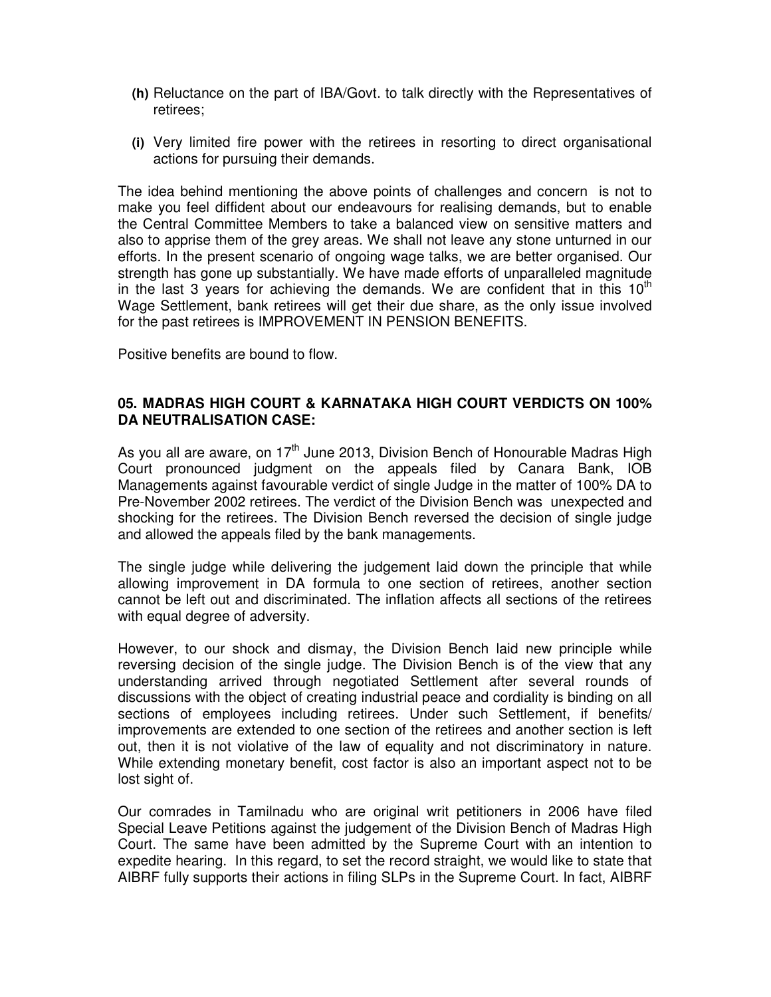- **(h)** Reluctance on the part of IBA/Govt. to talk directly with the Representatives of retirees;
- **(i)** Very limited fire power with the retirees in resorting to direct organisational actions for pursuing their demands.

The idea behind mentioning the above points of challenges and concern is not to make you feel diffident about our endeavours for realising demands, but to enable the Central Committee Members to take a balanced view on sensitive matters and also to apprise them of the grey areas. We shall not leave any stone unturned in our efforts. In the present scenario of ongoing wage talks, we are better organised. Our strength has gone up substantially. We have made efforts of unparalleled magnitude in the last 3 years for achieving the demands. We are confident that in this  $10<sup>th</sup>$ Wage Settlement, bank retirees will get their due share, as the only issue involved for the past retirees is IMPROVEMENT IN PENSION BENEFITS.

Positive benefits are bound to flow.

#### **05. MADRAS HIGH COURT & KARNATAKA HIGH COURT VERDICTS ON 100% DA NEUTRALISATION CASE:**

As you all are aware, on  $17<sup>th</sup>$  June 2013, Division Bench of Honourable Madras High Court pronounced judgment on the appeals filed by Canara Bank, IOB Managements against favourable verdict of single Judge in the matter of 100% DA to Pre-November 2002 retirees. The verdict of the Division Bench was unexpected and shocking for the retirees. The Division Bench reversed the decision of single judge and allowed the appeals filed by the bank managements.

The single judge while delivering the judgement laid down the principle that while allowing improvement in DA formula to one section of retirees, another section cannot be left out and discriminated. The inflation affects all sections of the retirees with equal degree of adversity.

However, to our shock and dismay, the Division Bench laid new principle while reversing decision of the single judge. The Division Bench is of the view that any understanding arrived through negotiated Settlement after several rounds of discussions with the object of creating industrial peace and cordiality is binding on all sections of employees including retirees. Under such Settlement, if benefits/ improvements are extended to one section of the retirees and another section is left out, then it is not violative of the law of equality and not discriminatory in nature. While extending monetary benefit, cost factor is also an important aspect not to be lost sight of.

Our comrades in Tamilnadu who are original writ petitioners in 2006 have filed Special Leave Petitions against the judgement of the Division Bench of Madras High Court. The same have been admitted by the Supreme Court with an intention to expedite hearing. In this regard, to set the record straight, we would like to state that AIBRF fully supports their actions in filing SLPs in the Supreme Court. In fact, AIBRF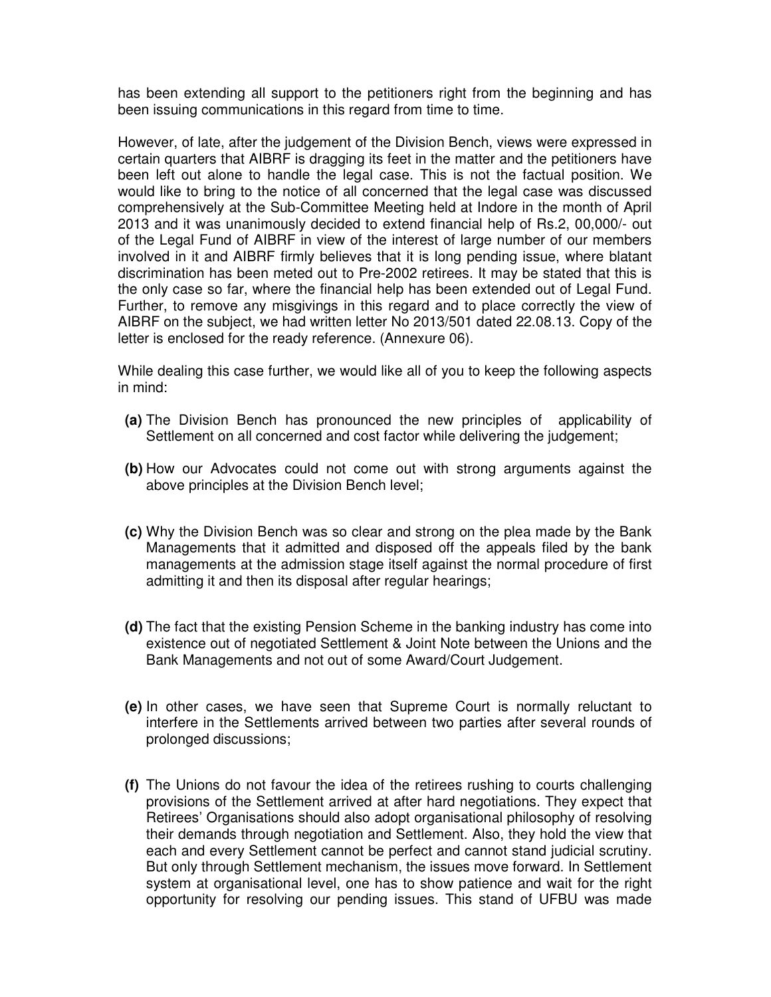has been extending all support to the petitioners right from the beginning and has been issuing communications in this regard from time to time.

However, of late, after the judgement of the Division Bench, views were expressed in certain quarters that AIBRF is dragging its feet in the matter and the petitioners have been left out alone to handle the legal case. This is not the factual position. We would like to bring to the notice of all concerned that the legal case was discussed comprehensively at the Sub-Committee Meeting held at Indore in the month of April 2013 and it was unanimously decided to extend financial help of Rs.2, 00,000/- out of the Legal Fund of AIBRF in view of the interest of large number of our members involved in it and AIBRF firmly believes that it is long pending issue, where blatant discrimination has been meted out to Pre-2002 retirees. It may be stated that this is the only case so far, where the financial help has been extended out of Legal Fund. Further, to remove any misgivings in this regard and to place correctly the view of AIBRF on the subject, we had written letter No 2013/501 dated 22.08.13. Copy of the letter is enclosed for the ready reference. (Annexure 06).

While dealing this case further, we would like all of you to keep the following aspects in mind:

- **(a)** The Division Bench has pronounced the new principles of applicability of Settlement on all concerned and cost factor while delivering the judgement;
- **(b)** How our Advocates could not come out with strong arguments against the above principles at the Division Bench level;
- **(c)** Why the Division Bench was so clear and strong on the plea made by the Bank Managements that it admitted and disposed off the appeals filed by the bank managements at the admission stage itself against the normal procedure of first admitting it and then its disposal after regular hearings;
- **(d)** The fact that the existing Pension Scheme in the banking industry has come into existence out of negotiated Settlement & Joint Note between the Unions and the Bank Managements and not out of some Award/Court Judgement.
- **(e)** In other cases, we have seen that Supreme Court is normally reluctant to interfere in the Settlements arrived between two parties after several rounds of prolonged discussions;
- **(f)** The Unions do not favour the idea of the retirees rushing to courts challenging provisions of the Settlement arrived at after hard negotiations. They expect that Retirees' Organisations should also adopt organisational philosophy of resolving their demands through negotiation and Settlement. Also, they hold the view that each and every Settlement cannot be perfect and cannot stand judicial scrutiny. But only through Settlement mechanism, the issues move forward. In Settlement system at organisational level, one has to show patience and wait for the right opportunity for resolving our pending issues. This stand of UFBU was made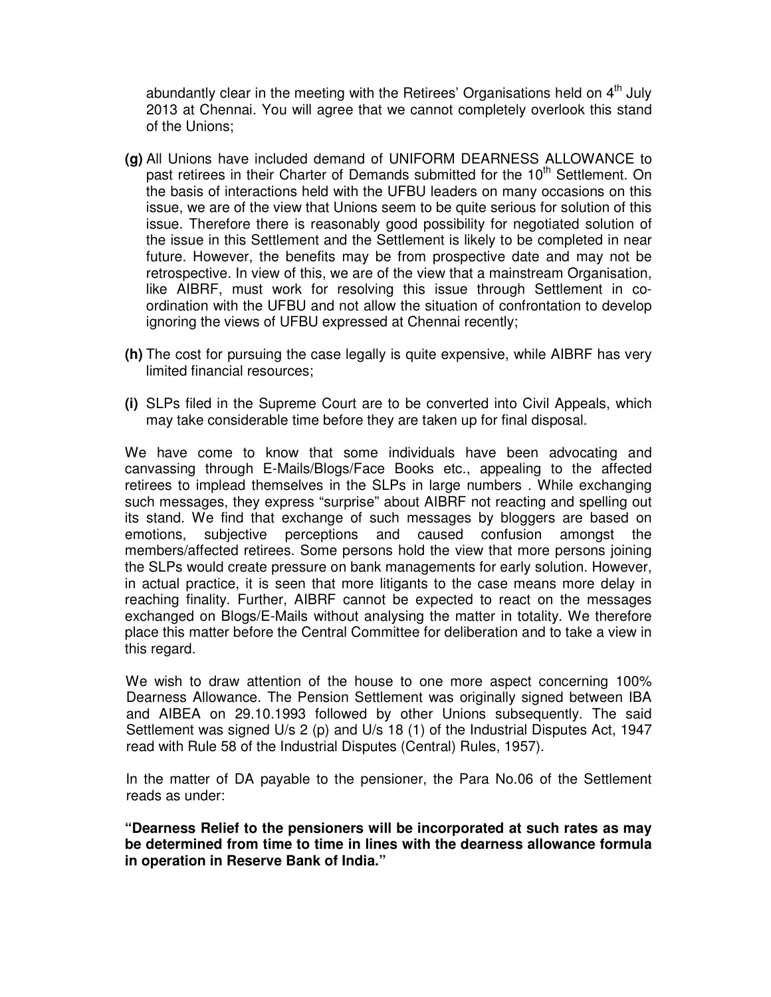abundantly clear in the meeting with the Retirees' Organisations held on  $4<sup>th</sup>$  July 2013 at Chennai. You will agree that we cannot completely overlook this stand of the Unions;

- **(g)** All Unions have included demand of UNIFORM DEARNESS ALLOWANCE to past retirees in their Charter of Demands submitted for the 10<sup>th</sup> Settlement. On the basis of interactions held with the UFBU leaders on many occasions on this issue, we are of the view that Unions seem to be quite serious for solution of this issue. Therefore there is reasonably good possibility for negotiated solution of the issue in this Settlement and the Settlement is likely to be completed in near future. However, the benefits may be from prospective date and may not be retrospective. In view of this, we are of the view that a mainstream Organisation, like AIBRF, must work for resolving this issue through Settlement in coordination with the UFBU and not allow the situation of confrontation to develop ignoring the views of UFBU expressed at Chennai recently;
- **(h)** The cost for pursuing the case legally is quite expensive, while AIBRF has very limited financial resources;
- **(i)** SLPs filed in the Supreme Court are to be converted into Civil Appeals, which may take considerable time before they are taken up for final disposal.

We have come to know that some individuals have been advocating and canvassing through E-Mails/Blogs/Face Books etc., appealing to the affected retirees to implead themselves in the SLPs in large numbers . While exchanging such messages, they express "surprise" about AIBRF not reacting and spelling out its stand. We find that exchange of such messages by bloggers are based on emotions, subjective perceptions and caused confusion amongst the members/affected retirees. Some persons hold the view that more persons joining the SLPs would create pressure on bank managements for early solution. However, in actual practice, it is seen that more litigants to the case means more delay in reaching finality. Further, AIBRF cannot be expected to react on the messages exchanged on Blogs/E-Mails without analysing the matter in totality. We therefore place this matter before the Central Committee for deliberation and to take a view in this regard.

 We wish to draw attention of the house to one more aspect concerning 100% Dearness Allowance. The Pension Settlement was originally signed between IBA and AIBEA on 29.10.1993 followed by other Unions subsequently. The said Settlement was signed U/s 2 (p) and U/s 18 (1) of the Industrial Disputes Act, 1947 read with Rule 58 of the Industrial Disputes (Central) Rules, 1957).

 In the matter of DA payable to the pensioner, the Para No.06 of the Settlement reads as under:

**"Dearness Relief to the pensioners will be incorporated at such rates as may be determined from time to time in lines with the dearness allowance formula in operation in Reserve Bank of India."**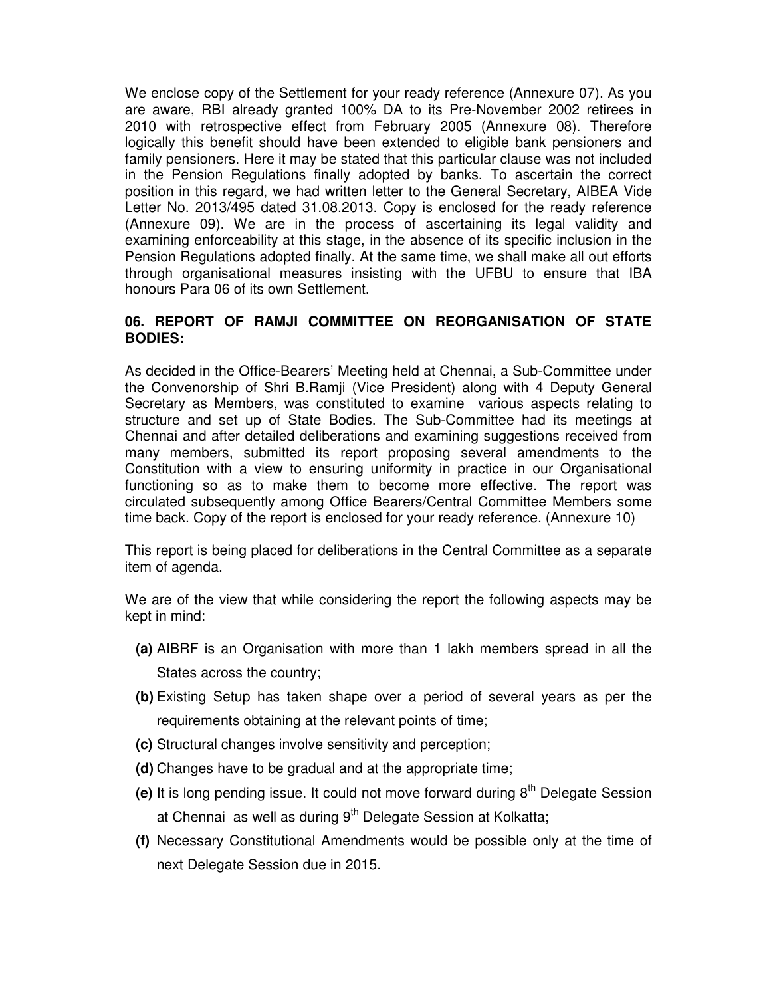We enclose copy of the Settlement for your ready reference (Annexure 07). As you are aware, RBI already granted 100% DA to its Pre-November 2002 retirees in 2010 with retrospective effect from February 2005 (Annexure 08). Therefore logically this benefit should have been extended to eligible bank pensioners and family pensioners. Here it may be stated that this particular clause was not included in the Pension Regulations finally adopted by banks. To ascertain the correct position in this regard, we had written letter to the General Secretary, AIBEA Vide Letter No. 2013/495 dated 31.08.2013. Copy is enclosed for the ready reference (Annexure 09). We are in the process of ascertaining its legal validity and examining enforceability at this stage, in the absence of its specific inclusion in the Pension Regulations adopted finally. At the same time, we shall make all out efforts through organisational measures insisting with the UFBU to ensure that IBA honours Para 06 of its own Settlement.

# **06. REPORT OF RAMJI COMMITTEE ON REORGANISATION OF STATE BODIES:**

As decided in the Office-Bearers' Meeting held at Chennai, a Sub-Committee under the Convenorship of Shri B.Ramji (Vice President) along with 4 Deputy General Secretary as Members, was constituted to examine various aspects relating to structure and set up of State Bodies. The Sub-Committee had its meetings at Chennai and after detailed deliberations and examining suggestions received from many members, submitted its report proposing several amendments to the Constitution with a view to ensuring uniformity in practice in our Organisational functioning so as to make them to become more effective. The report was circulated subsequently among Office Bearers/Central Committee Members some time back. Copy of the report is enclosed for your ready reference. (Annexure 10)

This report is being placed for deliberations in the Central Committee as a separate item of agenda.

We are of the view that while considering the report the following aspects may be kept in mind:

- **(a)** AIBRF is an Organisation with more than 1 lakh members spread in all the States across the country;
- **(b)** Existing Setup has taken shape over a period of several years as per the requirements obtaining at the relevant points of time;
- **(c)** Structural changes involve sensitivity and perception;
- **(d)** Changes have to be gradual and at the appropriate time;
- (e) It is long pending issue. It could not move forward during 8<sup>th</sup> Delegate Session at Chennai as well as during  $9<sup>th</sup>$  Delegate Session at Kolkatta;
- **(f)** Necessary Constitutional Amendments would be possible only at the time of next Delegate Session due in 2015.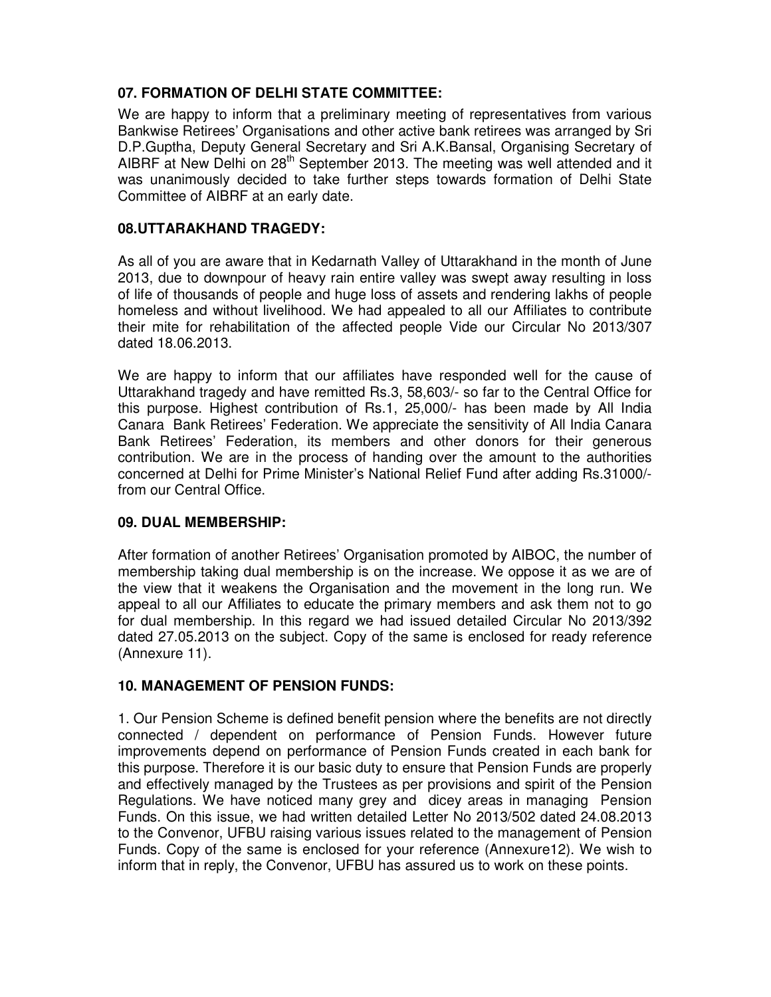# **07. FORMATION OF DELHI STATE COMMITTEE:**

We are happy to inform that a preliminary meeting of representatives from various Bankwise Retirees' Organisations and other active bank retirees was arranged by Sri D.P.Guptha, Deputy General Secretary and Sri A.K.Bansal, Organising Secretary of AIBRF at New Delhi on 28<sup>th</sup> September 2013. The meeting was well attended and it was unanimously decided to take further steps towards formation of Delhi State Committee of AIBRF at an early date.

# **08.UTTARAKHAND TRAGEDY:**

As all of you are aware that in Kedarnath Valley of Uttarakhand in the month of June 2013, due to downpour of heavy rain entire valley was swept away resulting in loss of life of thousands of people and huge loss of assets and rendering lakhs of people homeless and without livelihood. We had appealed to all our Affiliates to contribute their mite for rehabilitation of the affected people Vide our Circular No 2013/307 dated 18.06.2013.

We are happy to inform that our affiliates have responded well for the cause of Uttarakhand tragedy and have remitted Rs.3, 58,603/- so far to the Central Office for this purpose. Highest contribution of Rs.1, 25,000/- has been made by All India Canara Bank Retirees' Federation. We appreciate the sensitivity of All India Canara Bank Retirees' Federation, its members and other donors for their generous contribution. We are in the process of handing over the amount to the authorities concerned at Delhi for Prime Minister's National Relief Fund after adding Rs.31000/ from our Central Office.

#### **09. DUAL MEMBERSHIP:**

After formation of another Retirees' Organisation promoted by AIBOC, the number of membership taking dual membership is on the increase. We oppose it as we are of the view that it weakens the Organisation and the movement in the long run. We appeal to all our Affiliates to educate the primary members and ask them not to go for dual membership. In this regard we had issued detailed Circular No 2013/392 dated 27.05.2013 on the subject. Copy of the same is enclosed for ready reference (Annexure 11).

# **10. MANAGEMENT OF PENSION FUNDS:**

1. Our Pension Scheme is defined benefit pension where the benefits are not directly connected / dependent on performance of Pension Funds. However future improvements depend on performance of Pension Funds created in each bank for this purpose. Therefore it is our basic duty to ensure that Pension Funds are properly and effectively managed by the Trustees as per provisions and spirit of the Pension Regulations. We have noticed many grey and dicey areas in managing Pension Funds. On this issue, we had written detailed Letter No 2013/502 dated 24.08.2013 to the Convenor, UFBU raising various issues related to the management of Pension Funds. Copy of the same is enclosed for your reference (Annexure12). We wish to inform that in reply, the Convenor, UFBU has assured us to work on these points.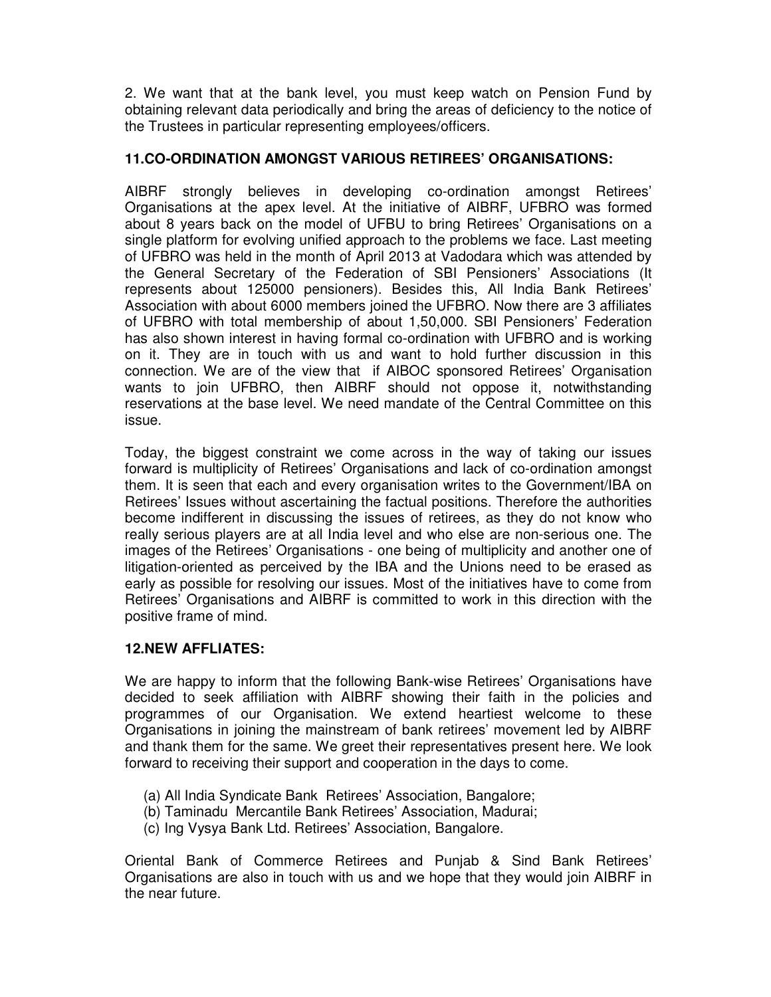2. We want that at the bank level, you must keep watch on Pension Fund by obtaining relevant data periodically and bring the areas of deficiency to the notice of the Trustees in particular representing employees/officers.

#### **11.CO-ORDINATION AMONGST VARIOUS RETIREES' ORGANISATIONS:**

AIBRF strongly believes in developing co-ordination amongst Retirees' Organisations at the apex level. At the initiative of AIBRF, UFBRO was formed about 8 years back on the model of UFBU to bring Retirees' Organisations on a single platform for evolving unified approach to the problems we face. Last meeting of UFBRO was held in the month of April 2013 at Vadodara which was attended by the General Secretary of the Federation of SBI Pensioners' Associations (It represents about 125000 pensioners). Besides this, All India Bank Retirees' Association with about 6000 members joined the UFBRO. Now there are 3 affiliates of UFBRO with total membership of about 1,50,000. SBI Pensioners' Federation has also shown interest in having formal co-ordination with UFBRO and is working on it. They are in touch with us and want to hold further discussion in this connection. We are of the view that if AIBOC sponsored Retirees' Organisation wants to join UFBRO, then AIBRF should not oppose it, notwithstanding reservations at the base level. We need mandate of the Central Committee on this issue.

Today, the biggest constraint we come across in the way of taking our issues forward is multiplicity of Retirees' Organisations and lack of co-ordination amongst them. It is seen that each and every organisation writes to the Government/IBA on Retirees' Issues without ascertaining the factual positions. Therefore the authorities become indifferent in discussing the issues of retirees, as they do not know who really serious players are at all India level and who else are non-serious one. The images of the Retirees' Organisations - one being of multiplicity and another one of litigation-oriented as perceived by the IBA and the Unions need to be erased as early as possible for resolving our issues. Most of the initiatives have to come from Retirees' Organisations and AIBRF is committed to work in this direction with the positive frame of mind.

#### **12.NEW AFFLIATES:**

We are happy to inform that the following Bank-wise Retirees' Organisations have decided to seek affiliation with AIBRF showing their faith in the policies and programmes of our Organisation. We extend heartiest welcome to these Organisations in joining the mainstream of bank retirees' movement led by AIBRF and thank them for the same. We greet their representatives present here. We look forward to receiving their support and cooperation in the days to come.

- (a) All India Syndicate Bank Retirees' Association, Bangalore;
- (b) Taminadu Mercantile Bank Retirees' Association, Madurai;
- (c) Ing Vysya Bank Ltd. Retirees' Association, Bangalore.

Oriental Bank of Commerce Retirees and Punjab & Sind Bank Retirees' Organisations are also in touch with us and we hope that they would join AIBRF in the near future.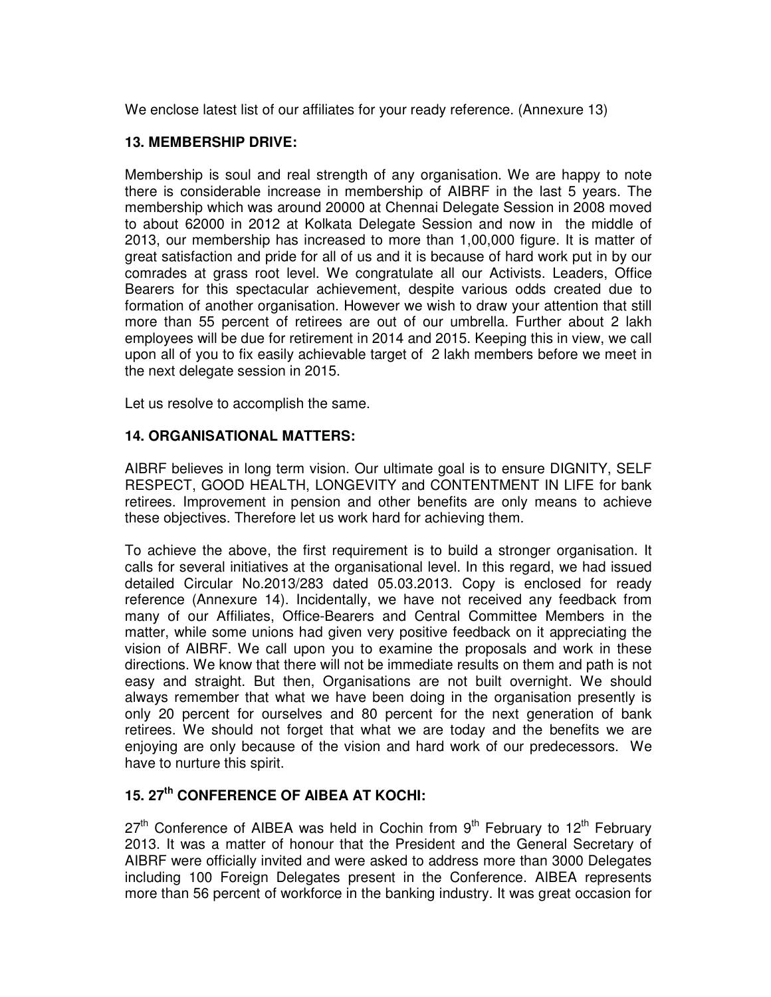We enclose latest list of our affiliates for your ready reference. (Annexure 13)

# **13. MEMBERSHIP DRIVE:**

Membership is soul and real strength of any organisation. We are happy to note there is considerable increase in membership of AIBRF in the last 5 years. The membership which was around 20000 at Chennai Delegate Session in 2008 moved to about 62000 in 2012 at Kolkata Delegate Session and now in the middle of 2013, our membership has increased to more than 1,00,000 figure. It is matter of great satisfaction and pride for all of us and it is because of hard work put in by our comrades at grass root level. We congratulate all our Activists. Leaders, Office Bearers for this spectacular achievement, despite various odds created due to formation of another organisation. However we wish to draw your attention that still more than 55 percent of retirees are out of our umbrella. Further about 2 lakh employees will be due for retirement in 2014 and 2015. Keeping this in view, we call upon all of you to fix easily achievable target of 2 lakh members before we meet in the next delegate session in 2015.

Let us resolve to accomplish the same.

# **14. ORGANISATIONAL MATTERS:**

AIBRF believes in long term vision. Our ultimate goal is to ensure DIGNITY, SELF RESPECT, GOOD HEALTH, LONGEVITY and CONTENTMENT IN LIFE for bank retirees. Improvement in pension and other benefits are only means to achieve these objectives. Therefore let us work hard for achieving them.

To achieve the above, the first requirement is to build a stronger organisation. It calls for several initiatives at the organisational level. In this regard, we had issued detailed Circular No.2013/283 dated 05.03.2013. Copy is enclosed for ready reference (Annexure 14). Incidentally, we have not received any feedback from many of our Affiliates, Office-Bearers and Central Committee Members in the matter, while some unions had given very positive feedback on it appreciating the vision of AIBRF. We call upon you to examine the proposals and work in these directions. We know that there will not be immediate results on them and path is not easy and straight. But then, Organisations are not built overnight. We should always remember that what we have been doing in the organisation presently is only 20 percent for ourselves and 80 percent for the next generation of bank retirees. We should not forget that what we are today and the benefits we are enjoying are only because of the vision and hard work of our predecessors. We have to nurture this spirit.

# **15. 27th CONFERENCE OF AIBEA AT KOCHI:**

 $27<sup>th</sup>$  Conference of AIBEA was held in Cochin from  $9<sup>th</sup>$  February to 12<sup>th</sup> February 2013. It was a matter of honour that the President and the General Secretary of AIBRF were officially invited and were asked to address more than 3000 Delegates including 100 Foreign Delegates present in the Conference. AIBEA represents more than 56 percent of workforce in the banking industry. It was great occasion for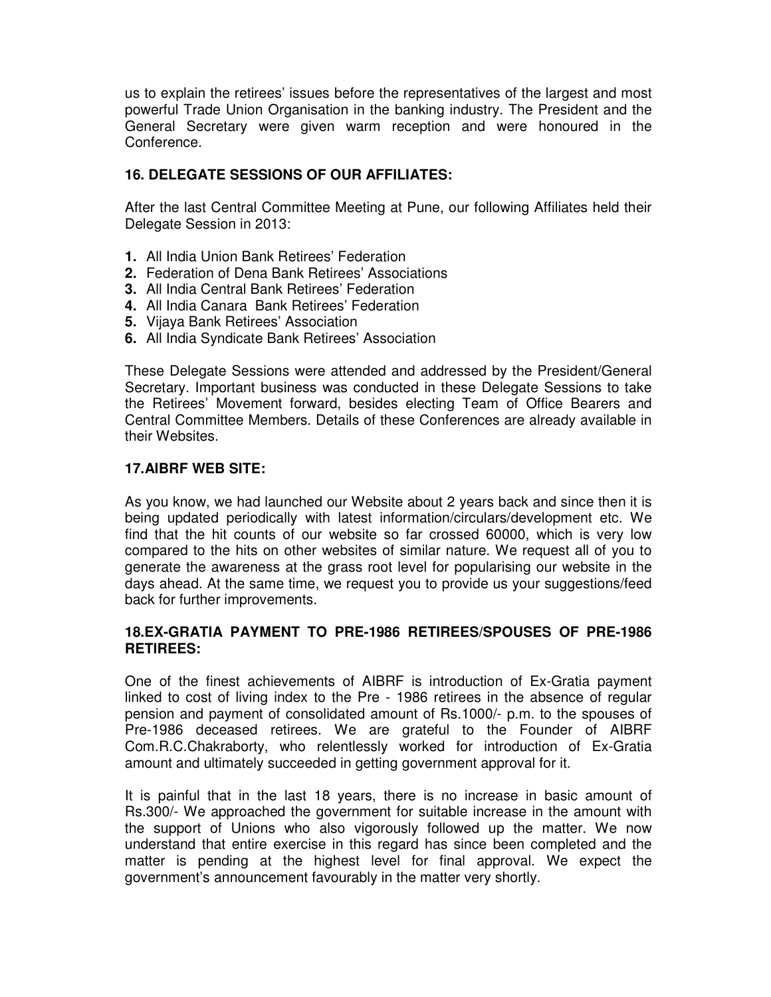us to explain the retirees' issues before the representatives of the largest and most powerful Trade Union Organisation in the banking industry. The President and the General Secretary were given warm reception and were honoured in the Conference.

#### **16. DELEGATE SESSIONS OF OUR AFFILIATES:**

After the last Central Committee Meeting at Pune, our following Affiliates held their Delegate Session in 2013:

- **1.** All India Union Bank Retirees' Federation
- **2.** Federation of Dena Bank Retirees' Associations
- **3.** All India Central Bank Retirees' Federation
- **4.** All India Canara Bank Retirees' Federation
- **5.** Vijaya Bank Retirees' Association
- **6.** All India Syndicate Bank Retirees' Association

These Delegate Sessions were attended and addressed by the President/General Secretary. Important business was conducted in these Delegate Sessions to take the Retirees' Movement forward, besides electing Team of Office Bearers and Central Committee Members. Details of these Conferences are already available in their Websites.

# **17.AIBRF WEB SITE:**

As you know, we had launched our Website about 2 years back and since then it is being updated periodically with latest information/circulars/development etc. We find that the hit counts of our website so far crossed 60000, which is very low compared to the hits on other websites of similar nature. We request all of you to generate the awareness at the grass root level for popularising our website in the days ahead. At the same time, we request you to provide us your suggestions/feed back for further improvements.

#### **18.EX-GRATIA PAYMENT TO PRE-1986 RETIREES/SPOUSES OF PRE-1986 RETIREES:**

One of the finest achievements of AIBRF is introduction of Ex-Gratia payment linked to cost of living index to the Pre - 1986 retirees in the absence of regular pension and payment of consolidated amount of Rs.1000/- p.m. to the spouses of Pre-1986 deceased retirees. We are grateful to the Founder of AIBRF Com.R.C.Chakraborty, who relentlessly worked for introduction of Ex-Gratia amount and ultimately succeeded in getting government approval for it.

It is painful that in the last 18 years, there is no increase in basic amount of Rs.300/- We approached the government for suitable increase in the amount with the support of Unions who also vigorously followed up the matter. We now understand that entire exercise in this regard has since been completed and the matter is pending at the highest level for final approval. We expect the government's announcement favourably in the matter very shortly.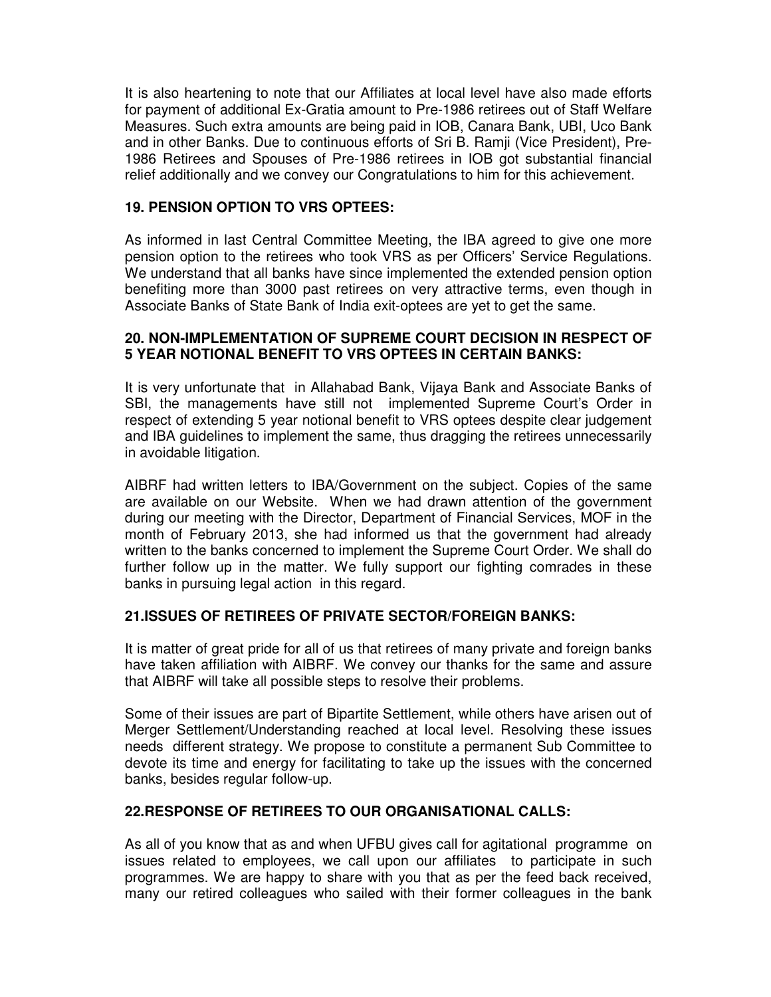It is also heartening to note that our Affiliates at local level have also made efforts for payment of additional Ex-Gratia amount to Pre-1986 retirees out of Staff Welfare Measures. Such extra amounts are being paid in IOB, Canara Bank, UBI, Uco Bank and in other Banks. Due to continuous efforts of Sri B. Ramji (Vice President), Pre-1986 Retirees and Spouses of Pre-1986 retirees in IOB got substantial financial relief additionally and we convey our Congratulations to him for this achievement.

#### **19. PENSION OPTION TO VRS OPTEES:**

As informed in last Central Committee Meeting, the IBA agreed to give one more pension option to the retirees who took VRS as per Officers' Service Regulations. We understand that all banks have since implemented the extended pension option benefiting more than 3000 past retirees on very attractive terms, even though in Associate Banks of State Bank of India exit-optees are yet to get the same.

#### **20. NON-IMPLEMENTATION OF SUPREME COURT DECISION IN RESPECT OF 5 YEAR NOTIONAL BENEFIT TO VRS OPTEES IN CERTAIN BANKS:**

It is very unfortunate that in Allahabad Bank, Vijaya Bank and Associate Banks of SBI, the managements have still not implemented Supreme Court's Order in respect of extending 5 year notional benefit to VRS optees despite clear judgement and IBA guidelines to implement the same, thus dragging the retirees unnecessarily in avoidable litigation.

AIBRF had written letters to IBA/Government on the subject. Copies of the same are available on our Website. When we had drawn attention of the government during our meeting with the Director, Department of Financial Services, MOF in the month of February 2013, she had informed us that the government had already written to the banks concerned to implement the Supreme Court Order. We shall do further follow up in the matter. We fully support our fighting comrades in these banks in pursuing legal action in this regard.

# **21.ISSUES OF RETIREES OF PRIVATE SECTOR/FOREIGN BANKS:**

It is matter of great pride for all of us that retirees of many private and foreign banks have taken affiliation with AIBRF. We convey our thanks for the same and assure that AIBRF will take all possible steps to resolve their problems.

Some of their issues are part of Bipartite Settlement, while others have arisen out of Merger Settlement/Understanding reached at local level. Resolving these issues needs different strategy. We propose to constitute a permanent Sub Committee to devote its time and energy for facilitating to take up the issues with the concerned banks, besides regular follow-up.

#### **22.RESPONSE OF RETIREES TO OUR ORGANISATIONAL CALLS:**

As all of you know that as and when UFBU gives call for agitational programme on issues related to employees, we call upon our affiliates to participate in such programmes. We are happy to share with you that as per the feed back received, many our retired colleagues who sailed with their former colleagues in the bank